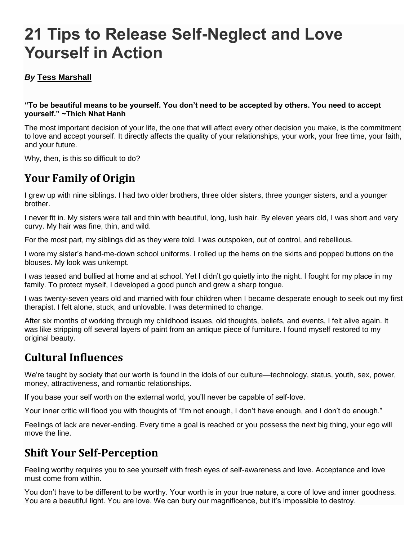# **21 Tips to Release Self-Neglect and Love Yourself in Action**

# *By* **[Tess Marshall](http://tinybuddha.com/author/tess-marshall/)**

#### **"To be beautiful means to be yourself. You don't need to be accepted by others. You need to accept yourself." ~Thich Nhat Hanh**

The most important decision of your life, the one that will affect every other decision you make, is the commitment to [love and accept yourself.](http://tinybuddha.com/blog/how-to-love-your-authentic-self/) It directly affects the quality of your relationships, your work, your free time, your faith, and your future.

Why, then, is this so difficult to do?

# **Your Family of Origin**

I grew up with nine siblings. I had two older brothers, three older sisters, three younger sisters, and a younger brother.

I never fit in. My sisters were tall and thin with beautiful, long, lush hair. By eleven years old, I was short and very curvy. My hair was fine, thin, and wild.

For the most part, my siblings did as they were told. I was outspoken, out of control, and rebellious.

I wore my sister's hand-me-down school uniforms. I rolled up the hems on the skirts and popped buttons on the blouses. My look was unkempt.

I was teased and bullied at home and at school. Yet I didn't go quietly into the night. I fought for my place in my family. To protect myself, I developed a good punch and grew a sharp tongue.

I was twenty-seven years old and married with four children when I became desperate enough to seek out my first therapist. I felt alone, stuck, and unlovable. I was determined to change.

After six months of working through my childhood issues, old thoughts, beliefs, and events, I felt alive again. It was like stripping off several layers of paint from an antique piece of furniture. I found myself restored to my original beauty.

# **Cultural Influences**

We're taught by society that our worth is found in the idols of our culture—technology, status, youth, sex, power, money, attractiveness, and romantic relationships.

If you base your self worth on the external world, you'll never be capable of self-love.

Your inner critic will flood you with thoughts of ["I'm not enough,](http://tinybuddha.com/blog/10-ways-i-know-theres-nothing-wrong-with-you-or-me/) I don't have enough, and I don't do enough."

Feelings of lack are never-ending. Every time a goal is reached or you possess the next big thing, your ego will move the line.

# **Shift Your Self-Perception**

Feeling worthy requires you to see yourself with fresh eyes of self-awareness and love. Acceptance and love must come from within.

You don't have to be different to be worthy. Your worth is in your true nature, a core of love and inner goodness. You are a beautiful light. You are love. We can bury our magnificence, but it's impossible to destroy.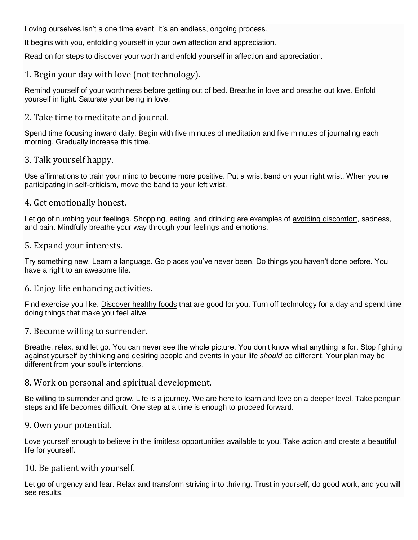Loving ourselves isn't a one time event. It's an endless, ongoing process.

It begins with you, enfolding yourself in your own affection and appreciation.

Read on for steps to discover your worth and enfold yourself in affection and appreciation.

# 1. Begin your day with love (not technology).

Remind yourself of your worthiness before getting out of bed. Breathe in love and breathe out love. Enfold yourself in light. Saturate your being in love.

### 2. Take time to meditate and journal.

Spend time focusing inward daily. Begin with five minutes of [meditation](http://tinybuddha.com/blog/8-ways-to-make-meditation-easy-and-fun/) and five minutes of journaling each morning. Gradually increase this time.

#### 3. Talk yourself happy.

Use affirmations to train your mind to [become more positive.](http://tinybuddha.com/blog/10-tips-to-overcome-negative-thoughts-positive-thinking-made-easy/) Put a wrist band on your right wrist. When you're participating in self-criticism, move the band to your left wrist.

#### 4. Get emotionally honest.

Let go of numbing your feelings. Shopping, eating, and drinking are examples of [avoiding discomfort,](http://tinybuddha.com/blog/how-to-deal-with-uncomfortable-feelings/) sadness, and pain. Mindfully breathe your way through your feelings and emotions.

#### 5. Expand your interests.

Try something new. Learn a language. Go places you've never been. Do things you haven't done before. You have a right to an awesome life.

# 6. Enjoy life enhancing activities.

Find exercise you like. [Discover healthy foods](http://tinybuddha.com/blog/food-is-my-friend-6-tips-for-mindful-eating/) that are good for you. Turn off technology for a day and spend time doing things that make you feel alive.

# 7. Become willing to surrender.

Breathe, relax, and [let go.](http://tinybuddha.com/blog/40-ways-to-let-go-and-feel-less-pain/) You can never see the whole picture. You don't know what anything is for. Stop fighting against yourself by thinking and desiring people and events in your life *should* be different. Your plan may be different from your soul's intentions.

#### 8. Work on personal and spiritual development.

Be willing to surrender and grow. Life is a journey. We are here to learn and love on a deeper level. Take penguin steps and life becomes difficult. One step at a time is enough to proceed forward.

#### 9. Own your potential.

Love yourself enough to believe in the limitless opportunities available to you. Take action and create a beautiful life for yourself.

#### 10. Be patient with yourself.

Let go of urgency and fear. Relax and transform striving into thriving. Trust in yourself, do good work, and you will see results.